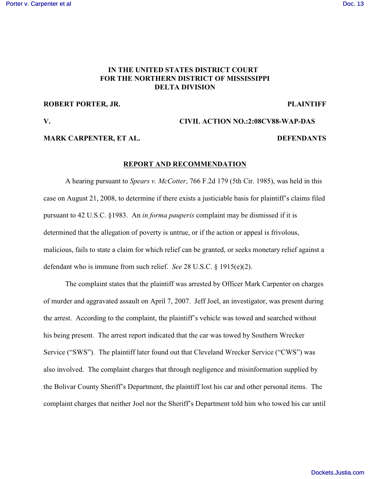# **IN THE UNITED STATES DISTRICT COURT FOR THE NORTHERN DISTRICT OF MISSISSIPPI DELTA DIVISION**

### **ROBERT PORTER, JR. PLAINTIFF**

## **V. CIVIL ACTION NO.:2:08CV88-WAP-DAS**

## **MARK CARPENTER, ET AL.** DEFENDANTS

#### **REPORT AND RECOMMENDATION**

A hearing pursuant to *Spears v. McCotter*, 766 F.2d 179 (5th Cir. 1985), was held in this case on August 21, 2008, to determine if there exists a justiciable basis for plaintiff's claims filed pursuant to 42 U.S.C. §1983. An *in forma pauperis* complaint may be dismissed if it is determined that the allegation of poverty is untrue, or if the action or appeal is frivolous, malicious, fails to state a claim for which relief can be granted, or seeks monetary relief against a defendant who is immune from such relief. *See* 28 U.S.C. § 1915(e)(2).

The complaint states that the plaintiff was arrested by Officer Mark Carpenter on charges of murder and aggravated assault on April 7, 2007. Jeff Joel, an investigator, was present during the arrest. According to the complaint, the plaintiff's vehicle was towed and searched without his being present. The arrest report indicated that the car was towed by Southern Wrecker Service ("SWS"). The plaintiff later found out that Cleveland Wrecker Service ("CWS") was also involved. The complaint charges that through negligence and misinformation supplied by the Bolivar County Sheriff's Department, the plaintiff lost his car and other personal items. The complaint charges that neither Joel nor the Sheriff's Department told him who towed his car until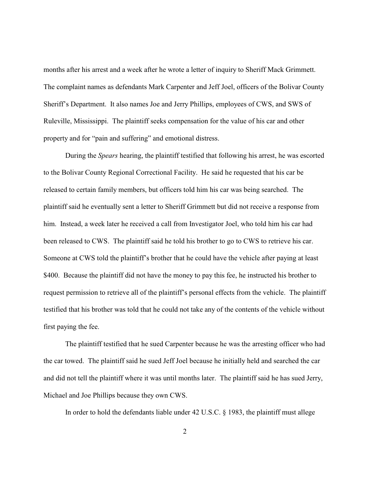months after his arrest and a week after he wrote a letter of inquiry to Sheriff Mack Grimmett. The complaint names as defendants Mark Carpenter and Jeff Joel, officers of the Bolivar County Sheriff's Department. It also names Joe and Jerry Phillips, employees of CWS, and SWS of Ruleville, Mississippi. The plaintiff seeks compensation for the value of his car and other property and for "pain and suffering" and emotional distress.

During the *Spears* hearing, the plaintiff testified that following his arrest, he was escorted to the Bolivar County Regional Correctional Facility. He said he requested that his car be released to certain family members, but officers told him his car was being searched. The plaintiff said he eventually sent a letter to Sheriff Grimmett but did not receive a response from him. Instead, a week later he received a call from Investigator Joel, who told him his car had been released to CWS. The plaintiff said he told his brother to go to CWS to retrieve his car. Someone at CWS told the plaintiff's brother that he could have the vehicle after paying at least \$400. Because the plaintiff did not have the money to pay this fee, he instructed his brother to request permission to retrieve all of the plaintiff's personal effects from the vehicle. The plaintiff testified that his brother was told that he could not take any of the contents of the vehicle without first paying the fee.

The plaintiff testified that he sued Carpenter because he was the arresting officer who had the car towed. The plaintiff said he sued Jeff Joel because he initially held and searched the car and did not tell the plaintiff where it was until months later. The plaintiff said he has sued Jerry, Michael and Joe Phillips because they own CWS.

In order to hold the defendants liable under 42 U.S.C. § 1983, the plaintiff must allege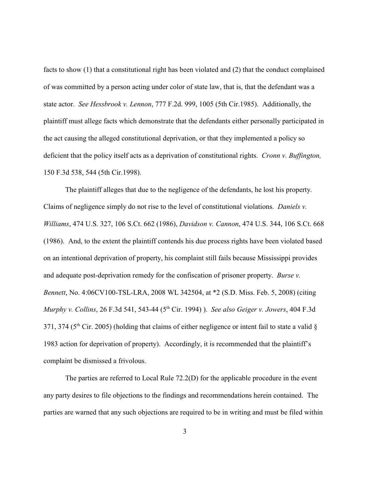facts to show (1) that a constitutional right has been violated and (2) that the conduct complained of was committed by a person acting under color of state law, that is, that the defendant was a state actor. *See Hessbrook v. Lennon*, 777 F.2d. 999, 1005 (5th Cir.1985). Additionally, the plaintiff must allege facts which demonstrate that the defendants either personally participated in the act causing the alleged constitutional deprivation, or that they implemented a policy so deficient that the policy itself acts as a deprivation of constitutional rights. *Cronn v. Buffington,* 150 F.3d 538, 544 (5th Cir.1998).

The plaintiff alleges that due to the negligence of the defendants, he lost his property. Claims of negligence simply do not rise to the level of constitutional violations. *Daniels v. Williams*, 474 U.S. 327, 106 S.Ct. 662 (1986), *Davidson v. Cannon*, 474 U.S. 344, 106 S.Ct. 668 (1986). And, to the extent the plaintiff contends his due process rights have been violated based on an intentional deprivation of property, his complaint still fails because Mississippi provides and adequate post-deprivation remedy for the confiscation of prisoner property. *Burse v. Bennett*, No. 4:06CV100-TSL-LRA, 2008 WL 342504, at \*2 (S.D. Miss. Feb. 5, 2008) (citing *Murphy v. Collins*, 26 F.3d 541, 543-44 (5<sup>th</sup> Cir. 1994) ). *See also Geiger v. Jowers*, 404 F.3d 371, 374 ( $5<sup>th</sup>$  Cir. 2005) (holding that claims of either negligence or intent fail to state a valid  $\delta$ 1983 action for deprivation of property). Accordingly, it is recommended that the plaintiff's complaint be dismissed a frivolous.

The parties are referred to Local Rule 72.2(D) for the applicable procedure in the event any party desires to file objections to the findings and recommendations herein contained. The parties are warned that any such objections are required to be in writing and must be filed within